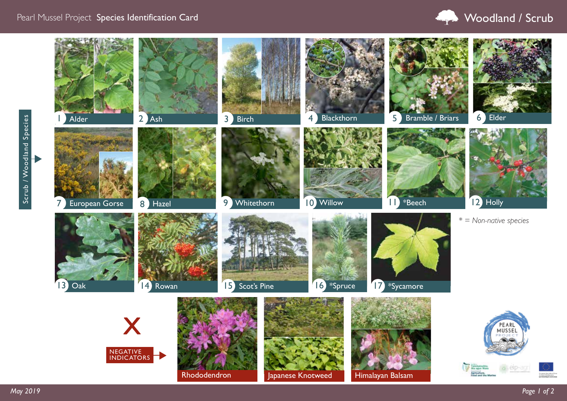## Pearl Mussel Project Species Identification Card